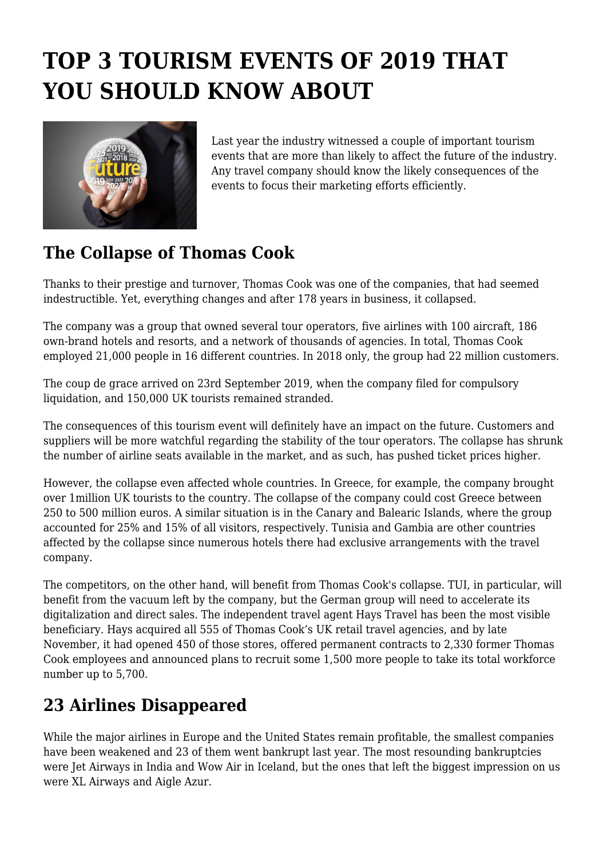## **TOP 3 TOURISM EVENTS OF 2019 THAT YOU SHOULD KNOW ABOUT**



Last year the industry witnessed a couple of important tourism events that are more than likely to affect the future of the industry. Any travel company should know the likely consequences of the events to focus their marketing efforts efficiently.

## **The Collapse of Thomas Cook**

Thanks to their prestige and turnover, Thomas Cook was one of the companies, that had seemed indestructible. Yet, everything changes and after 178 years in business, it collapsed.

The company was a group that owned several tour operators, five airlines with 100 aircraft, 186 own-brand hotels and resorts, and a network of thousands of agencies. In total, Thomas Cook employed 21,000 people in 16 different countries. In 2018 only, the group had 22 million customers.

The coup de grace arrived on 23rd September 2019, when the company filed for compulsory liquidation, and 150,000 UK tourists remained stranded.

The consequences of this tourism event will definitely have an impact on the future. Customers and suppliers will be more watchful regarding the stability of the tour operators. The collapse has shrunk the number of airline seats available in the market, and as such, has pushed ticket prices higher.

However, the collapse even affected whole countries. In Greece, for example, the company brought over 1million UK tourists to the country. The collapse of the company could cost Greece between 250 to 500 million euros. A similar situation is in the Canary and Balearic Islands, where the group accounted for 25% and 15% of all visitors, respectively. Tunisia and Gambia are other countries affected by the collapse since numerous hotels there had exclusive arrangements with the travel company.

The competitors, on the other hand, will benefit from Thomas Cook's collapse. TUI, in particular, will benefit from the vacuum left by the company, but the German group will need to accelerate its digitalization and direct sales. The independent travel agent Hays Travel has been the most visible beneficiary. Hays acquired all 555 of Thomas Cook's UK retail travel agencies, and by late November, it had opened 450 of those stores, offered permanent contracts to 2,330 former Thomas Cook employees and announced plans to recruit some 1,500 more people to take its total workforce number up to 5,700.

## **23 Airlines Disappeared**

While the major airlines in Europe and the United States remain profitable, the smallest companies have been weakened and 23 of them went bankrupt last year. The most resounding bankruptcies were Jet Airways in India and Wow Air in Iceland, but the ones that left the biggest impression on us were XL Airways and Aigle Azur.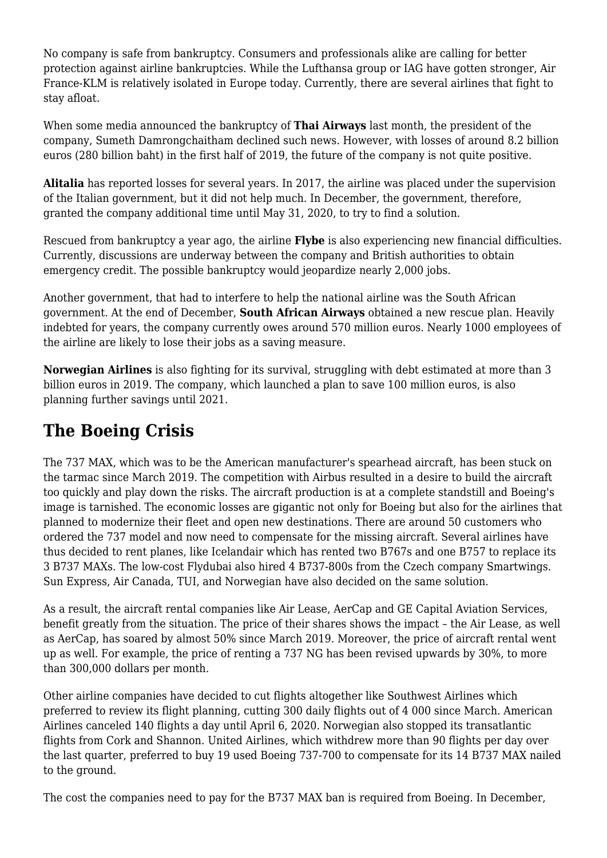No company is safe from bankruptcy. Consumers and professionals alike are calling for better protection against airline bankruptcies. While the Lufthansa group or IAG have gotten stronger, Air France-KLM is relatively isolated in Europe today. Currently, there are several airlines that fight to stay afloat.

When some media announced the bankruptcy of **Thai Airways** last month, the president of the company, Sumeth Damrongchaitham declined such news. However, with losses of around 8.2 billion euros (280 billion baht) in the first half of 2019, the future of the company is not quite positive.

**Alitalia** has reported losses for several years. In 2017, the airline was placed under the supervision of the Italian government, but it did not help much. In December, the government, therefore, granted the company additional time until May 31, 2020, to try to find a solution.

Rescued from bankruptcy a year ago, the airline **Flybe** is also experiencing new financial difficulties. Currently, discussions are underway between the company and British authorities to obtain emergency credit. The possible bankruptcy would jeopardize nearly 2,000 jobs.

Another government, that had to interfere to help the national airline was the South African government. At the end of December, **South African Airways** obtained a new rescue plan. Heavily indebted for years, the company currently owes around 570 million euros. Nearly 1000 employees of the airline are likely to lose their jobs as a saving measure.

**Norwegian Airlines** is also fighting for its survival, struggling with debt estimated at more than 3 billion euros in 2019. The company, which launched a plan to save 100 million euros, is also planning further savings until 2021.

## **The Boeing Crisis**

The 737 MAX, which was to be the American manufacturer's spearhead aircraft, has been stuck on the tarmac since March 2019. The competition with Airbus resulted in a desire to build the aircraft too quickly and play down the risks. The aircraft production is at a complete standstill and Boeing's image is tarnished. The economic losses are gigantic not only for Boeing but also for the airlines that planned to modernize their fleet and open new destinations. There are around 50 customers who ordered the 737 model and now need to compensate for the missing aircraft. Several airlines have thus decided to rent planes, like Icelandair which has rented two B767s and one B757 to replace its 3 B737 MAXs. The low-cost Flydubai also hired 4 B737-800s from the Czech company Smartwings. Sun Express, Air Canada, TUI, and Norwegian have also decided on the same solution.

As a result, the aircraft rental companies like Air Lease, AerCap and GE Capital Aviation Services, benefit greatly from the situation. The price of their shares shows the impact – the Air Lease, as well as AerCap, has soared by almost 50% since March 2019. Moreover, the price of aircraft rental went up as well. For example, the price of renting a 737 NG has been revised upwards by 30%, to more than 300,000 dollars per month.

Other airline companies have decided to cut flights altogether like Southwest Airlines which preferred to review its flight planning, cutting 300 daily flights out of 4 000 since March. American Airlines canceled 140 flights a day until April 6, 2020. Norwegian also stopped its transatlantic flights from Cork and Shannon. United Airlines, which withdrew more than 90 flights per day over the last quarter, preferred to buy 19 used Boeing 737-700 to compensate for its 14 B737 MAX nailed to the ground.

The cost the companies need to pay for the B737 MAX ban is required from Boeing. In December,